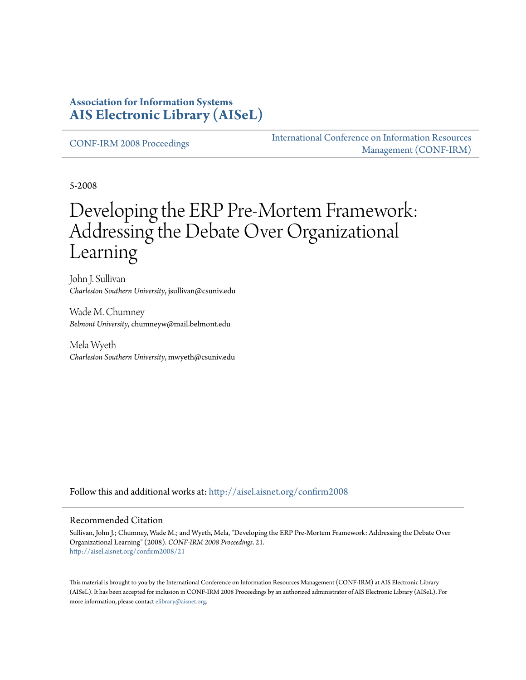### **Association for Information Systems [AIS Electronic Library \(AISeL\)](http://aisel.aisnet.org?utm_source=aisel.aisnet.org%2Fconfirm2008%2F21&utm_medium=PDF&utm_campaign=PDFCoverPages)**

[CONF-IRM 2008 Proceedings](http://aisel.aisnet.org/confirm2008?utm_source=aisel.aisnet.org%2Fconfirm2008%2F21&utm_medium=PDF&utm_campaign=PDFCoverPages)

[International Conference on Information Resources](http://aisel.aisnet.org/conf-irm?utm_source=aisel.aisnet.org%2Fconfirm2008%2F21&utm_medium=PDF&utm_campaign=PDFCoverPages) [Management \(CONF-IRM\)](http://aisel.aisnet.org/conf-irm?utm_source=aisel.aisnet.org%2Fconfirm2008%2F21&utm_medium=PDF&utm_campaign=PDFCoverPages)

5-2008

# Developing the ERP Pre-Mortem Framework: Addressing the Debate Over Organizational Learning

John J. Sullivan *Charleston Southern University*, jsullivan@csuniv.edu

Wade M. Chumney *Belmont University*, chumneyw@mail.belmont.edu

Mela Wyeth *Charleston Southern University*, mwyeth@csuniv.edu

Follow this and additional works at: [http://aisel.aisnet.org/confirm2008](http://aisel.aisnet.org/confirm2008?utm_source=aisel.aisnet.org%2Fconfirm2008%2F21&utm_medium=PDF&utm_campaign=PDFCoverPages)

#### Recommended Citation

Sullivan, John J.; Chumney, Wade M.; and Wyeth, Mela, "Developing the ERP Pre-Mortem Framework: Addressing the Debate Over Organizational Learning" (2008). *CONF-IRM 2008 Proceedings*. 21. [http://aisel.aisnet.org/confirm2008/21](http://aisel.aisnet.org/confirm2008/21?utm_source=aisel.aisnet.org%2Fconfirm2008%2F21&utm_medium=PDF&utm_campaign=PDFCoverPages)

This material is brought to you by the International Conference on Information Resources Management (CONF-IRM) at AIS Electronic Library (AISeL). It has been accepted for inclusion in CONF-IRM 2008 Proceedings by an authorized administrator of AIS Electronic Library (AISeL). For more information, please contact [elibrary@aisnet.org.](mailto:elibrary@aisnet.org%3E)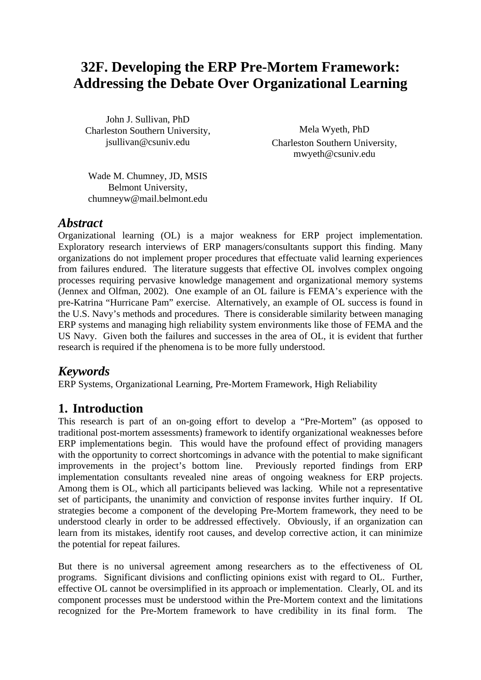## **32F. Developing the ERP Pre-Mortem Framework: Addressing the Debate Over Organizational Learning**

John J. Sullivan, PhD Charleston Southern University, jsullivan@csuniv.edu

Mela Wyeth, PhD Charleston Southern University, mwyeth@csuniv.edu

Wade M. Chumney, JD, MSIS Belmont University, chumneyw@mail.belmont.edu

### *Abstract*

Organizational learning (OL) is a major weakness for ERP project implementation. Exploratory research interviews of ERP managers/consultants support this finding. Many organizations do not implement proper procedures that effectuate valid learning experiences from failures endured. The literature suggests that effective OL involves complex ongoing processes requiring pervasive knowledge management and organizational memory systems (Jennex and Olfman, 2002). One example of an OL failure is FEMA's experience with the pre-Katrina "Hurricane Pam" exercise. Alternatively, an example of OL success is found in the U.S. Navy's methods and procedures. There is considerable similarity between managing ERP systems and managing high reliability system environments like those of FEMA and the US Navy. Given both the failures and successes in the area of OL, it is evident that further research is required if the phenomena is to be more fully understood.

### *Keywords*

ERP Systems, Organizational Learning, Pre-Mortem Framework, High Reliability

### **1. Introduction**

This research is part of an on-going effort to develop a "Pre-Mortem" (as opposed to traditional post-mortem assessments) framework to identify organizational weaknesses before ERP implementations begin. This would have the profound effect of providing managers with the opportunity to correct shortcomings in advance with the potential to make significant improvements in the project's bottom line. Previously reported findings from ERP implementation consultants revealed nine areas of ongoing weakness for ERP projects. Among them is OL, which all participants believed was lacking. While not a representative set of participants, the unanimity and conviction of response invites further inquiry. If OL strategies become a component of the developing Pre-Mortem framework, they need to be understood clearly in order to be addressed effectively. Obviously, if an organization can learn from its mistakes, identify root causes, and develop corrective action, it can minimize the potential for repeat failures.

But there is no universal agreement among researchers as to the effectiveness of OL programs. Significant divisions and conflicting opinions exist with regard to OL. Further, effective OL cannot be oversimplified in its approach or implementation. Clearly, OL and its component processes must be understood within the Pre-Mortem context and the limitations recognized for the Pre-Mortem framework to have credibility in its final form. The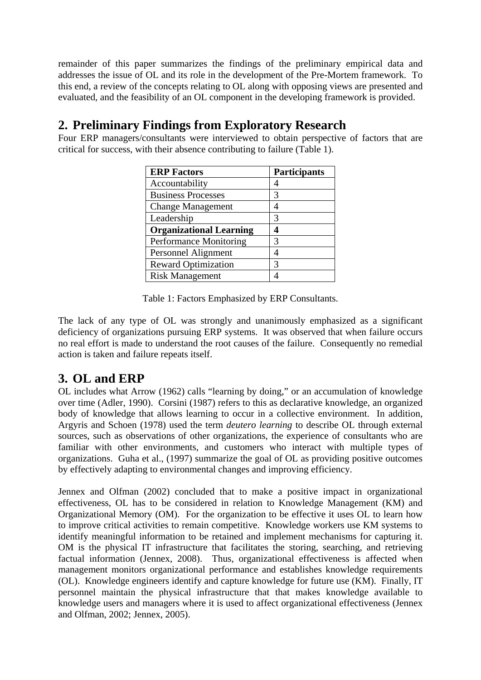remainder of this paper summarizes the findings of the preliminary empirical data and addresses the issue of OL and its role in the development of the Pre-Mortem framework. To this end, a review of the concepts relating to OL along with opposing views are presented and evaluated, and the feasibility of an OL component in the developing framework is provided.

### **2. Preliminary Findings from Exploratory Research**

Four ERP managers/consultants were interviewed to obtain perspective of factors that are critical for success, with their absence contributing to failure (Table 1).

| <b>ERP Factors</b>             | <b>Participants</b> |
|--------------------------------|---------------------|
| Accountability                 |                     |
| <b>Business Processes</b>      | 3                   |
| <b>Change Management</b>       | 4                   |
| Leadership                     | 3                   |
| <b>Organizational Learning</b> | 4                   |
| <b>Performance Monitoring</b>  | 3                   |
| Personnel Alignment            |                     |
| <b>Reward Optimization</b>     | 3                   |
| <b>Risk Management</b>         |                     |

Table 1: Factors Emphasized by ERP Consultants.

The lack of any type of OL was strongly and unanimously emphasized as a significant deficiency of organizations pursuing ERP systems. It was observed that when failure occurs no real effort is made to understand the root causes of the failure. Consequently no remedial action is taken and failure repeats itself.

### **3. OL and ERP**

OL includes what Arrow (1962) calls "learning by doing," or an accumulation of knowledge over time (Adler, 1990). Corsini (1987) refers to this as declarative knowledge, an organized body of knowledge that allows learning to occur in a collective environment. In addition, Argyris and Schoen (1978) used the term *deutero learning* to describe OL through external sources, such as observations of other organizations, the experience of consultants who are familiar with other environments, and customers who interact with multiple types of organizations. Guha et al., (1997) summarize the goal of OL as providing positive outcomes by effectively adapting to environmental changes and improving efficiency.

Jennex and Olfman (2002) concluded that to make a positive impact in organizational effectiveness, OL has to be considered in relation to Knowledge Management (KM) and Organizational Memory (OM). For the organization to be effective it uses OL to learn how to improve critical activities to remain competitive. Knowledge workers use KM systems to identify meaningful information to be retained and implement mechanisms for capturing it. OM is the physical IT infrastructure that facilitates the storing, searching, and retrieving factual information (Jennex, 2008). Thus, organizational effectiveness is affected when management monitors organizational performance and establishes knowledge requirements (OL). Knowledge engineers identify and capture knowledge for future use (KM). Finally, IT personnel maintain the physical infrastructure that that makes knowledge available to knowledge users and managers where it is used to affect organizational effectiveness (Jennex and Olfman, 2002; Jennex, 2005).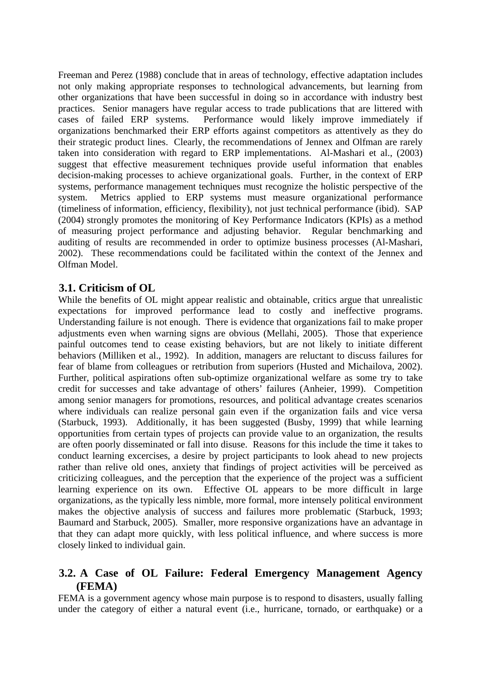Freeman and Perez (1988) conclude that in areas of technology, effective adaptation includes not only making appropriate responses to technological advancements, but learning from other organizations that have been successful in doing so in accordance with industry best practices. Senior managers have regular access to trade publications that are littered with cases of failed ERP systems. Performance would likely improve immediately if organizations benchmarked their ERP efforts against competitors as attentively as they do their strategic product lines. Clearly, the recommendations of Jennex and Olfman are rarely taken into consideration with regard to ERP implementations. Al-Mashari et al., (2003) suggest that effective measurement techniques provide useful information that enables decision-making processes to achieve organizational goals. Further, in the context of ERP systems, performance management techniques must recognize the holistic perspective of the system. Metrics applied to ERP systems must measure organizational performance (timeliness of information, efficiency, flexibility), not just technical performance (ibid). SAP (2004) strongly promotes the monitoring of Key Performance Indicators (KPIs) as a method of measuring project performance and adjusting behavior. Regular benchmarking and auditing of results are recommended in order to optimize business processes (Al-Mashari, 2002). These recommendations could be facilitated within the context of the Jennex and Olfman Model.

#### **3.1. Criticism of OL**

While the benefits of OL might appear realistic and obtainable, critics argue that unrealistic expectations for improved performance lead to costly and ineffective programs. Understanding failure is not enough. There is evidence that organizations fail to make proper adjustments even when warning signs are obvious (Mellahi, 2005). Those that experience painful outcomes tend to cease existing behaviors, but are not likely to initiate different behaviors (Milliken et al., 1992). In addition, managers are reluctant to discuss failures for fear of blame from colleagues or retribution from superiors (Husted and Michailova, 2002). Further, political aspirations often sub-optimize organizational welfare as some try to take credit for successes and take advantage of others' failures (Anheier, 1999). Competition among senior managers for promotions, resources, and political advantage creates scenarios where individuals can realize personal gain even if the organization fails and vice versa (Starbuck, 1993). Additionally, it has been suggested (Busby, 1999) that while learning opportunities from certain types of projects can provide value to an organization, the results are often poorly disseminated or fall into disuse. Reasons for this include the time it takes to conduct learning excercises, a desire by project participants to look ahead to new projects rather than relive old ones, anxiety that findings of project activities will be perceived as criticizing colleagues, and the perception that the experience of the project was a sufficient learning experience on its own. Effective OL appears to be more difficult in large organizations, as the typically less nimble, more formal, more intensely political environment makes the objective analysis of success and failures more problematic (Starbuck, 1993; Baumard and Starbuck, 2005). Smaller, more responsive organizations have an advantage in that they can adapt more quickly, with less political influence, and where success is more closely linked to individual gain.

#### **3.2. A Case of OL Failure: Federal Emergency Management Agency (FEMA)**

FEMA is a government agency whose main purpose is to respond to disasters, usually falling under the category of either a natural event (i.e., hurricane, tornado, or earthquake) or a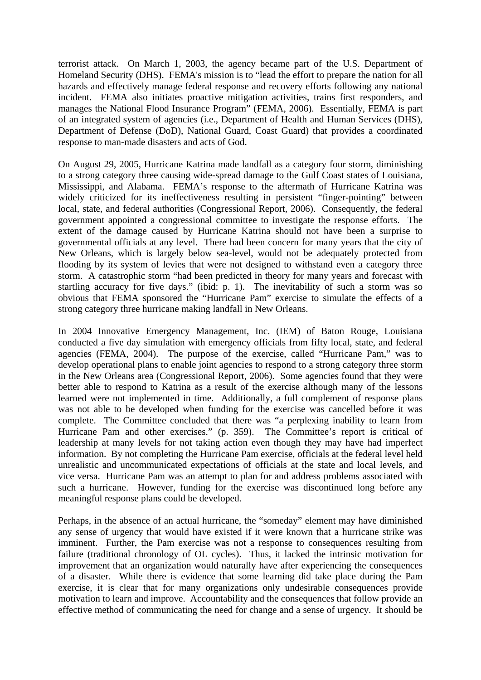terrorist attack. On March 1, 2003, the agency became part of the U.S. Department of Homeland Security (DHS). FEMA's mission is to "lead the effort to prepare the nation for all hazards and effectively manage federal response and recovery efforts following any national incident. FEMA also initiates proactive mitigation activities, trains first responders, and manages the National Flood Insurance Program" (FEMA, 2006). Essentially, FEMA is part of an integrated system of agencies (i.e., Department of Health and Human Services (DHS), Department of Defense (DoD), National Guard, Coast Guard) that provides a coordinated response to man-made disasters and acts of God.

On August 29, 2005, Hurricane Katrina made landfall as a category four storm, diminishing to a strong category three causing wide-spread damage to the Gulf Coast states of Louisiana, Mississippi, and Alabama. FEMA's response to the aftermath of Hurricane Katrina was widely criticized for its ineffectiveness resulting in persistent "finger-pointing" between local, state, and federal authorities (Congressional Report, 2006). Consequently, the federal government appointed a congressional committee to investigate the response efforts. The extent of the damage caused by Hurricane Katrina should not have been a surprise to governmental officials at any level. There had been concern for many years that the city of New Orleans, which is largely below sea-level, would not be adequately protected from flooding by its system of levies that were not designed to withstand even a category three storm. A catastrophic storm "had been predicted in theory for many years and forecast with startling accuracy for five days." (ibid: p. 1). The inevitability of such a storm was so obvious that FEMA sponsored the "Hurricane Pam" exercise to simulate the effects of a strong category three hurricane making landfall in New Orleans.

In 2004 Innovative Emergency Management, Inc. (IEM) of Baton Rouge, Louisiana conducted a five day simulation with emergency officials from fifty local, state, and federal agencies (FEMA, 2004). The purpose of the exercise, called "Hurricane Pam," was to develop operational plans to enable joint agencies to respond to a strong category three storm in the New Orleans area (Congressional Report, 2006). Some agencies found that they were better able to respond to Katrina as a result of the exercise although many of the lessons learned were not implemented in time. Additionally, a full complement of response plans was not able to be developed when funding for the exercise was cancelled before it was complete. The Committee concluded that there was "a perplexing inability to learn from Hurricane Pam and other exercises." (p. 359). The Committee's report is critical of leadership at many levels for not taking action even though they may have had imperfect information. By not completing the Hurricane Pam exercise, officials at the federal level held unrealistic and uncommunicated expectations of officials at the state and local levels, and vice versa. Hurricane Pam was an attempt to plan for and address problems associated with such a hurricane. However, funding for the exercise was discontinued long before any meaningful response plans could be developed.

Perhaps, in the absence of an actual hurricane, the "someday" element may have diminished any sense of urgency that would have existed if it were known that a hurricane strike was imminent. Further, the Pam exercise was not a response to consequences resulting from failure (traditional chronology of OL cycles). Thus, it lacked the intrinsic motivation for improvement that an organization would naturally have after experiencing the consequences of a disaster. While there is evidence that some learning did take place during the Pam exercise, it is clear that for many organizations only undesirable consequences provide motivation to learn and improve. Accountability and the consequences that follow provide an effective method of communicating the need for change and a sense of urgency. It should be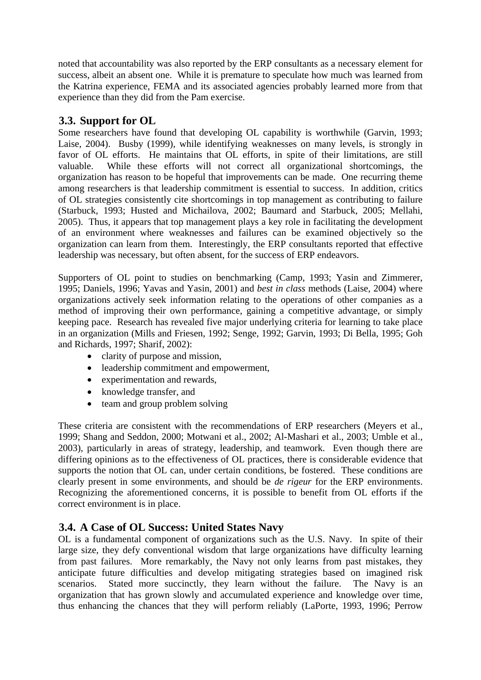noted that accountability was also reported by the ERP consultants as a necessary element for success, albeit an absent one. While it is premature to speculate how much was learned from the Katrina experience, FEMA and its associated agencies probably learned more from that experience than they did from the Pam exercise.

### **3.3. Support for OL**

Some researchers have found that developing OL capability is worthwhile (Garvin, 1993; Laise, 2004). Busby (1999), while identifying weaknesses on many levels, is strongly in favor of OL efforts. He maintains that OL efforts, in spite of their limitations, are still valuable. While these efforts will not correct all organizational shortcomings, the organization has reason to be hopeful that improvements can be made. One recurring theme among researchers is that leadership commitment is essential to success. In addition, critics of OL strategies consistently cite shortcomings in top management as contributing to failure (Starbuck, 1993; Husted and Michailova, 2002; Baumard and Starbuck, 2005; Mellahi, 2005). Thus, it appears that top management plays a key role in facilitating the development of an environment where weaknesses and failures can be examined objectively so the organization can learn from them. Interestingly, the ERP consultants reported that effective leadership was necessary, but often absent, for the success of ERP endeavors.

Supporters of OL point to studies on benchmarking (Camp, 1993; Yasin and Zimmerer, 1995; Daniels, 1996; Yavas and Yasin, 2001) and *best in class* methods (Laise, 2004) where organizations actively seek information relating to the operations of other companies as a method of improving their own performance, gaining a competitive advantage, or simply keeping pace. Research has revealed five major underlying criteria for learning to take place in an organization (Mills and Friesen, 1992; Senge, 1992; Garvin, 1993; Di Bella, 1995; Goh and Richards, 1997; Sharif, 2002):

- clarity of purpose and mission,
- leadership commitment and empowerment,
- experimentation and rewards,
- knowledge transfer, and
- team and group problem solving

These criteria are consistent with the recommendations of ERP researchers (Meyers et al., 1999; Shang and Seddon, 2000; Motwani et al., 2002; Al-Mashari et al., 2003; Umble et al., 2003), particularly in areas of strategy, leadership, and teamwork. Even though there are differing opinions as to the effectiveness of OL practices, there is considerable evidence that supports the notion that OL can, under certain conditions, be fostered. These conditions are clearly present in some environments, and should be *de rigeur* for the ERP environments. Recognizing the aforementioned concerns, it is possible to benefit from OL efforts if the correct environment is in place.

### **3.4. A Case of OL Success: United States Navy**

OL is a fundamental component of organizations such as the U.S. Navy. In spite of their large size, they defy conventional wisdom that large organizations have difficulty learning from past failures. More remarkably, the Navy not only learns from past mistakes, they anticipate future difficulties and develop mitigating strategies based on imagined risk scenarios. Stated more succinctly, they learn without the failure. The Navy is an organization that has grown slowly and accumulated experience and knowledge over time, thus enhancing the chances that they will perform reliably (LaPorte, 1993, 1996; Perrow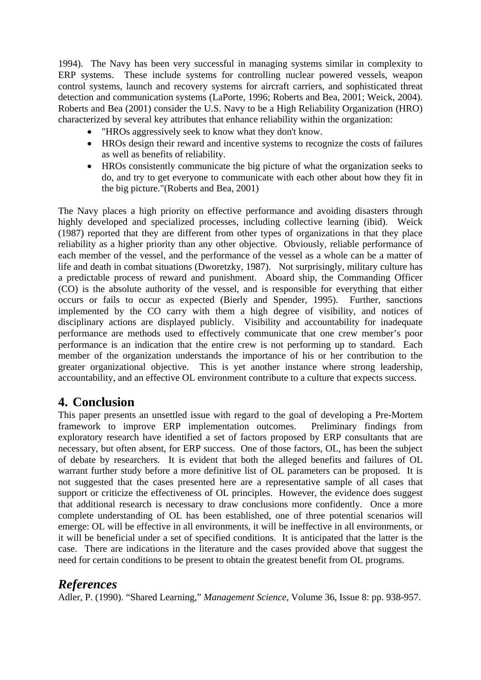1994). The Navy has been very successful in managing systems similar in complexity to ERP systems. These include systems for controlling nuclear powered vessels, weapon control systems, launch and recovery systems for aircraft carriers, and sophisticated threat detection and communication systems (LaPorte, 1996; Roberts and Bea, 2001; Weick, 2004). Roberts and Bea (2001) consider the U.S. Navy to be a High Reliability Organization (HRO) characterized by several key attributes that enhance reliability within the organization:

- "HROs aggressively seek to know what they don't know.
- HROs design their reward and incentive systems to recognize the costs of failures as well as benefits of reliability.
- HROs consistently communicate the big picture of what the organization seeks to do, and try to get everyone to communicate with each other about how they fit in the big picture."(Roberts and Bea, 2001)

The Navy places a high priority on effective performance and avoiding disasters through highly developed and specialized processes, including collective learning (ibid). Weick (1987) reported that they are different from other types of organizations in that they place reliability as a higher priority than any other objective. Obviously, reliable performance of each member of the vessel, and the performance of the vessel as a whole can be a matter of life and death in combat situations (Dworetzky, 1987). Not surprisingly, military culture has a predictable process of reward and punishment. Aboard ship, the Commanding Officer (CO) is the absolute authority of the vessel, and is responsible for everything that either occurs or fails to occur as expected (Bierly and Spender, 1995). Further, sanctions implemented by the CO carry with them a high degree of visibility, and notices of disciplinary actions are displayed publicly. Visibility and accountability for inadequate performance are methods used to effectively communicate that one crew member's poor performance is an indication that the entire crew is not performing up to standard. Each member of the organization understands the importance of his or her contribution to the greater organizational objective. This is yet another instance where strong leadership, accountability, and an effective OL environment contribute to a culture that expects success.

### **4. Conclusion**

This paper presents an unsettled issue with regard to the goal of developing a Pre-Mortem framework to improve ERP implementation outcomes. Preliminary findings from exploratory research have identified a set of factors proposed by ERP consultants that are necessary, but often absent, for ERP success. One of those factors, OL, has been the subject of debate by researchers. It is evident that both the alleged benefits and failures of OL warrant further study before a more definitive list of OL parameters can be proposed. It is not suggested that the cases presented here are a representative sample of all cases that support or criticize the effectiveness of OL principles. However, the evidence does suggest that additional research is necessary to draw conclusions more confidently. Once a more complete understanding of OL has been established, one of three potential scenarios will emerge: OL will be effective in all environments, it will be ineffective in all environments, or it will be beneficial under a set of specified conditions. It is anticipated that the latter is the case. There are indications in the literature and the cases provided above that suggest the need for certain conditions to be present to obtain the greatest benefit from OL programs.

### *References*

Adler, P. (1990). "Shared Learning," *Management Science*, Volume 36, Issue 8: pp. 938-957.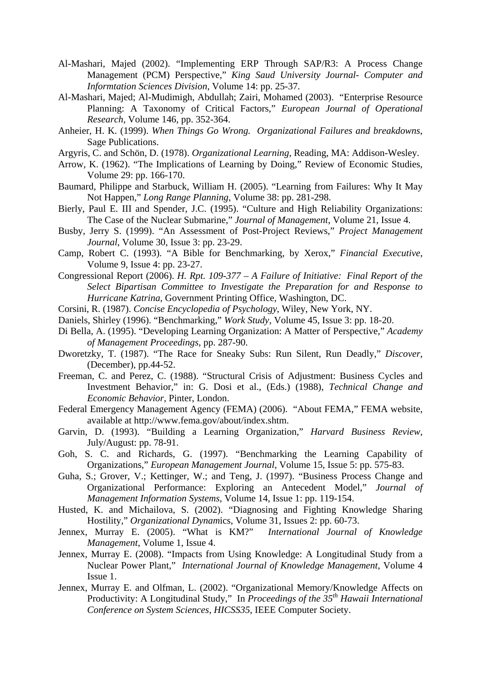- Al-Mashari, Majed (2002). "Implementing ERP Through SAP/R3: A Process Change Management (PCM) Perspective," *King Saud University Journal- Computer and Informtation Sciences Division*, Volume 14: pp. 25-37.
- Al-Mashari, Majed; Al-Mudimigh, Abdullah; Zairi, Mohamed (2003). "Enterprise Resource Planning: A Taxonomy of Critical Factors," *European Journal of Operational Research*, Volume 146, pp. 352-364.
- Anheier, H. K. (1999). *When Things Go Wrong. Organizational Failures and breakdowns*, Sage Publications.
- Argyris, C. and Schön, D. (1978). *Organizational Learning*, Reading, MA: Addison-Wesley.
- Arrow, K. (1962). "The Implications of Learning by Doing," Review of Economic Studies, Volume 29: pp. 166-170.
- Baumard, Philippe and Starbuck, William H. (2005). "Learning from Failures: Why It May Not Happen," *Long Range Planning*, Volume 38: pp. 281-298.
- Bierly, Paul E. III and Spender, J.C. (1995). "Culture and High Reliability Organizations: The Case of the Nuclear Submarine," *Journal of Management*, Volume 21, Issue 4.
- Busby, Jerry S. (1999). "An Assessment of Post-Project Reviews," *Project Management Journal*, Volume 30, Issue 3: pp. 23-29.
- Camp, Robert C. (1993). "A Bible for Benchmarking, by Xerox," *Financial Executive*, Volume 9, Issue 4: pp. 23-27.
- Congressional Report (2006). *H. Rpt. 109-377 A Failure of Initiative: Final Report of the Select Bipartisan Committee to Investigate the Preparation for and Response to Hurricane Katrina*, Government Printing Office, Washington, DC.
- Corsini, R. (1987). *Concise Encyclopedia of Psychology*, Wiley, New York, NY.
- Daniels, Shirley (1996). "Benchmarking," *Work Study*, Volume 45, Issue 3: pp. 18-20.
- Di Bella, A. (1995). "Developing Learning Organization: A Matter of Perspective," *Academy of Management Proceedings*, pp. 287-90.
- Dworetzky, T. (1987). "The Race for Sneaky Subs: Run Silent, Run Deadly," *Discover*, (December), pp.44-52.
- Freeman, C. and Perez, C. (1988). "Structural Crisis of Adjustment: Business Cycles and Investment Behavior," in: G. Dosi et al., (Eds.) (1988), *Technical Change and Economic Behavior*, Pinter, London.
- Federal Emergency Management Agency (FEMA) (2006). "About FEMA," FEMA website, available at http://www.fema.gov/about/index.shtm.
- Garvin, D. (1993). "Building a Learning Organization," *Harvard Business Review*, July/August: pp. 78-91.
- Goh, S. C. and Richards, G. (1997). "Benchmarking the Learning Capability of Organizations," *European Management Journal*, Volume 15, Issue 5: pp. 575-83.
- Guha, S.; Grover, V.; Kettinger, W.; and Teng, J. (1997). "Business Process Change and Organizational Performance: Exploring an Antecedent Model," *Journal of Management Information Systems*, Volume 14, Issue 1: pp. 119-154.
- Husted, K. and Michailova, S. (2002). "Diagnosing and Fighting Knowledge Sharing Hostility," *Organizational Dynam*ics, Volume 31, Issues 2: pp. 60-73.
- Jennex, Murray E. (2005). "What is KM?" *International Journal of Knowledge Management*, Volume 1, Issue 4.
- Jennex, Murray E. (2008). "Impacts from Using Knowledge: A Longitudinal Study from a Nuclear Power Plant," *International Journal of Knowledge Management*, Volume 4 Issue 1.
- Jennex, Murray E. and Olfman, L. (2002). "Organizational Memory/Knowledge Affects on Productivity: A Longitudinal Study," In *Proceedings of the 35th Hawaii International Conference on System Sciences, HICSS35*, IEEE Computer Society.